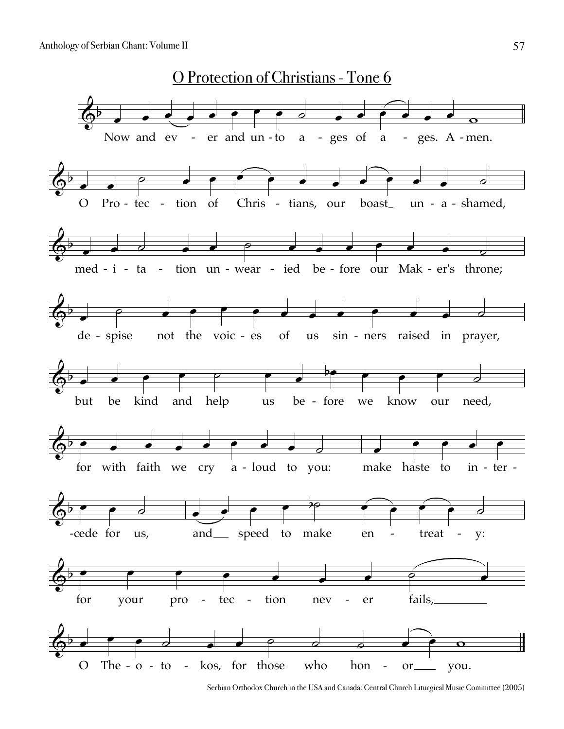

Serbian Orthodox Church in the USA and Canada: Central Church Liturgical Music Committee (2005)